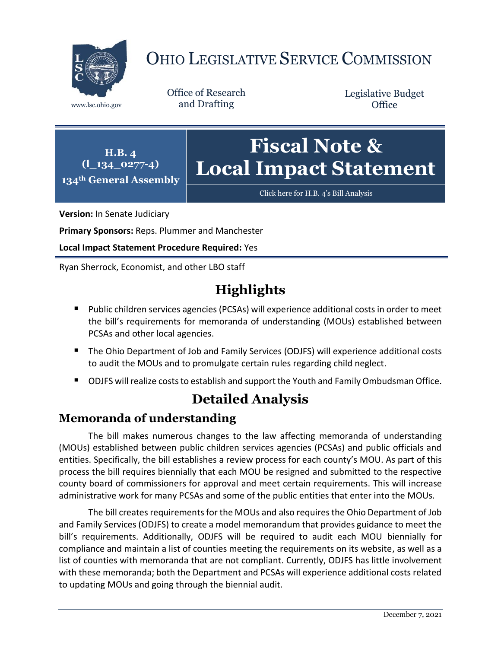

# OHIO LEGISLATIVE SERVICE COMMISSION

Office of Research www.lsc.ohio.gov and Drafting

Legislative Budget **Office** 

**H.B. 4 (l\_134\_0277-4) 134th General Assembly**

## **Fiscal Note & Local Impact Statement**

[Click here for H.B. 4](https://www.legislature.ohio.gov/legislation/legislation-documents?id=GA134-HB-4)'s Bill Analysis

**Version:** In Senate Judiciary

**Primary Sponsors:** Reps. Plummer and Manchester

**Local Impact Statement Procedure Required:** Yes

Ryan Sherrock, Economist, and other LBO staff

### **Highlights**

- Public children services agencies (PCSAs) will experience additional costs in order to meet the bill's requirements for memoranda of understanding (MOUs) established between PCSAs and other local agencies.
- The Ohio Department of Job and Family Services (ODJFS) will experience additional costs to audit the MOUs and to promulgate certain rules regarding child neglect.
- ODJFS will realize costs to establish and support the Youth and Family Ombudsman Office.

### **Detailed Analysis**

#### **Memoranda of understanding**

The bill makes numerous changes to the law affecting memoranda of understanding (MOUs) established between public children services agencies (PCSAs) and public officials and entities. Specifically, the bill establishes a review process for each county's MOU. As part of this process the bill requires biennially that each MOU be resigned and submitted to the respective county board of commissioners for approval and meet certain requirements. This will increase administrative work for many PCSAs and some of the public entities that enter into the MOUs.

The bill creates requirements for the MOUs and also requires the Ohio Department of Job and Family Services (ODJFS) to create a model memorandum that provides guidance to meet the bill's requirements. Additionally, ODJFS will be required to audit each MOU biennially for compliance and maintain a list of counties meeting the requirements on its website, as well as a list of counties with memoranda that are not compliant. Currently, ODJFS has little involvement with these memoranda; both the Department and PCSAs will experience additional costs related to updating MOUs and going through the biennial audit.